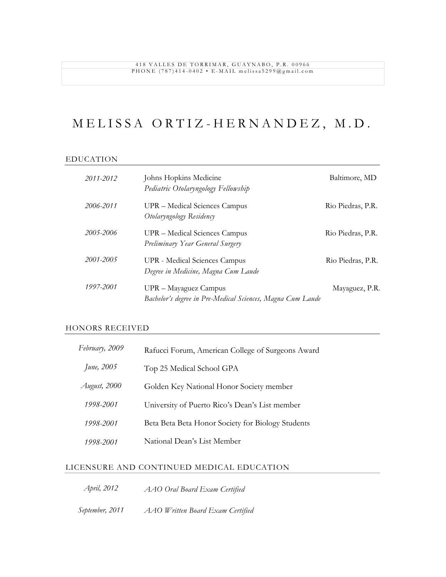#### 418 VALLES DE TORRIMAR, GUAYNABO, P.R. 00966 PHONE (787)414-0402 • E-MAIL melissa5299@gmail.com

## M E L I S S A O R T I Z - H E R N A N D E Z, M . D .

#### EDUCATION

| 2011-2012 | Johns Hopkins Medicine<br>Pediatric Otolaryngology Fellowship                       | Baltimore, MD     |
|-----------|-------------------------------------------------------------------------------------|-------------------|
| 2006-2011 | UPR – Medical Sciences Campus<br>Otolaryngology Residency                           | Rio Piedras, P.R. |
| 2005-2006 | UPR – Medical Sciences Campus<br>Preliminary Year General Surgery                   | Rio Piedras, P.R. |
| 2001-2005 | <b>UPR</b> - Medical Sciences Campus<br>Degree in Medicine, Magna Cum Laude         | Rio Piedras, P.R. |
| 1997-2001 | UPR – Mayaguez Campus<br>Bachelor's degree in Pre-Medical Sciences, Magna Cum Laude | Mayaguez, P.R.    |

### HONORS RECEIVED

| February, 2009 | Rafucci Forum, American College of Surgeons Award |
|----------------|---------------------------------------------------|
| June, 2005     | Top 25 Medical School GPA                         |
| August, 2000   | Golden Key National Honor Society member          |
| 1998-2001      | University of Puerto Rico's Dean's List member    |
| 1998-2001      | Beta Beta Beta Honor Society for Biology Students |
| 1998-2001      | National Dean's List Member                       |

#### LICENSURE AND CONTINUED MEDICAL EDUCATION

- *April, 2012 AAO Oral Board Exam Certified*
- *September, 2011 AAO Written Board Exam Certified*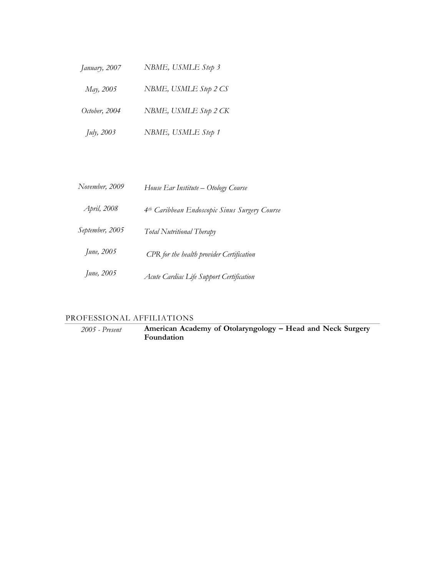| January, 2007      | NBME, USMLE Step 3    |
|--------------------|-----------------------|
| May, 2005          | NBME, USMLE Step 2 CS |
| October, 2004      | NBME, USMLE Step 2 CK |
| <i>July</i> , 2003 | NBME, USMLE Step 1    |

| November, 2009  | House Ear Institute – Otology Course                      |
|-----------------|-----------------------------------------------------------|
| April, 2008     | 4 <sup>th</sup> Caribbean Endoscopic Sinus Surgery Course |
| September, 2005 | Total Nutritional Therapy                                 |
| June, 2005      | CPR for the health provider Certification                 |
| June, 2005      | Acute Cardiac Life Support Certification                  |

## PROFESSIONAL AFFILIATIONS

*2005 - Present* **American Academy of Otolaryngology – Head and Neck Surgery Foundation**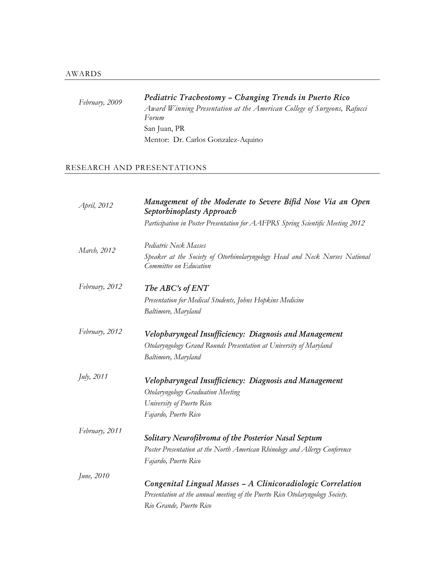# *February, 2009 Pediatric Tracheotomy – Changing Trends in Puerto Rico*

*Award Winning Presentation at the American College of Surgeons, Rafucci Forum* San Juan, PR Mentor: Dr. Carlos Gonzalez-Aquino

### RESEARCH AND PRESENTATIONS

| April, 2012    | Management of the Moderate to Severe Bifid Nose Via an Open<br>Septorhinoplasty Approach              |
|----------------|-------------------------------------------------------------------------------------------------------|
|                | Participation in Poster Presentation for AAFPRS Spring Scientific Meeting 2012                        |
| March, 2012    | Pediatric Neck Masses                                                                                 |
|                | Speaker at the Society of Otorhinolaryngology Head and Neck Nurses National<br>Committee on Education |
| February, 2012 | The ABC's of ENT                                                                                      |
|                | Presentation for Medical Students, Johns Hopkins Medicine                                             |
|                | Baltimore, Maryland                                                                                   |
| February, 2012 | Velopharyngeal Insufficiency: Diagnosis and Management                                                |
|                | Otolaryngology Grand Rounds Presentation at University of Maryland                                    |
|                | Baltimore, Maryland                                                                                   |
| July, 2011     | Velopharyngeal Insufficiency: Diagnosis and Management                                                |
|                | Otolaryngology Graduation Meeting                                                                     |
|                | University of Puerto Rico                                                                             |
|                | Fajardo, Puerto Rico                                                                                  |
| February, 2011 |                                                                                                       |
|                | Solitary Neurofibroma of the Posterior Nasal Septum                                                   |
|                | Poster Presentation at the North American Rhinology and Allergy Conference                            |
|                | Fajardo, Puerto Rico                                                                                  |
| June, 2010     |                                                                                                       |
|                | Congenital Lingual Masses - A Clinicoradiologic Correlation                                           |
|                | Presentation at the annual meeting of the Puerto Rico Otolaryngology Society.                         |
|                | Rio Grande, Puerto Rico                                                                               |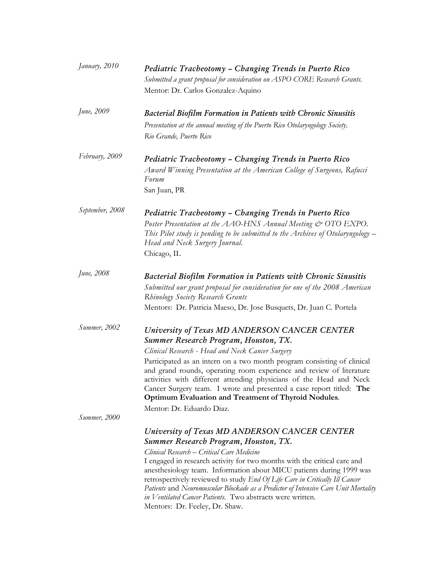| January, 2010   | Pediatric Tracheotomy - Changing Trends in Puerto Rico<br>Submitted a grant proposal for consideration on ASPO CORE Research Grants.<br>Mentor: Dr. Carlos Gonzalez-Aquino                                                                                                                                                                                                                                                                                                                                                                                                                  |
|-----------------|---------------------------------------------------------------------------------------------------------------------------------------------------------------------------------------------------------------------------------------------------------------------------------------------------------------------------------------------------------------------------------------------------------------------------------------------------------------------------------------------------------------------------------------------------------------------------------------------|
| June, 2009      | <b>Bacterial Biofilm Formation in Patients with Chronic Sinusitis</b><br>Presentation at the annual meeting of the Puerto Rico Otolaryngology Society.<br>Rio Grande, Puerto Rico                                                                                                                                                                                                                                                                                                                                                                                                           |
| February, 2009  | Pediatric Tracheotomy - Changing Trends in Puerto Rico<br>Award Winning Presentation at the American College of Surgeons, Rafucci<br>Forum<br>San Juan, PR                                                                                                                                                                                                                                                                                                                                                                                                                                  |
| September, 2008 | Pediatric Tracheotomy - Changing Trends in Puerto Rico<br>Poster Presentation at the AAO-HNS Annual Meeting & OTO EXPO.<br>This Pilot study is pending to be submitted to the Archives of Otolaryngology –<br>Head and Neck Surgery Journal.<br>Chicago, IL                                                                                                                                                                                                                                                                                                                                 |
| June, 2008      | <b>Bacterial Biofilm Formation in Patients with Chronic Sinusitis</b><br>Submitted our grant proposal for consideration for one of the 2008 American<br><b>Rhinology Society Research Grants</b><br>Mentors: Dr. Patricia Maeso, Dr. Jose Busquets, Dr. Juan C. Portela                                                                                                                                                                                                                                                                                                                     |
| Summer, 2002    | University of Texas MD ANDERSON CANCER CENTER<br><b>Summer Research Program, Houston, TX.</b><br>Clinical Research - Head and Neck Cancer Surgery<br>Participated as an intern on a two month program consisting of clinical<br>and grand rounds, operating room experience and review of literature<br>activities with different attending physicians of the Head and Neck<br>Cancer Surgery team. I wrote and presented a case report titled: The<br>Optimum Evaluation and Treatment of Thyroid Nodules.                                                                                 |
| Summer, 2000    | Mentor: Dr. Eduardo Diaz.<br>University of Texas MD ANDERSON CANCER CENTER<br>Summer Research Program, Houston, TX.<br>Clinical Research - Critical Care Medicine<br>I engaged in research activity for two months with the critical care and<br>anesthesiology team. Information about MICU patients during 1999 was<br>retrospectively reviewed to study End Of Life Care in Critically Ill Cancer<br>Patients and Neuromuscular Blockade as a Predictor of Intensive Care Unit Mortality<br>in Ventilated Cancer Patients. Two abstracts were written.<br>Mentors: Dr. Feeley, Dr. Shaw. |